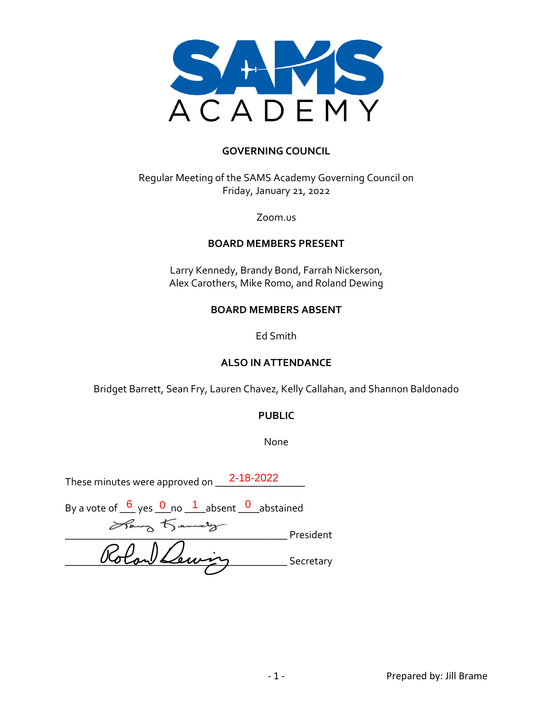

#### **GOVERNING COUNCIL**

Regular Meeting of the SAMS Academy Governing Council on Friday, January 21, 2022

Zoom.us

#### **BOARD MEMBERS PRESENT**

Larry Kennedy, Brandy Bond, Farrah Nickerson, Alex Carothers, Mike Romo, and Roland Dewing

#### **BOARD MEMBERS ABSENT**

Ed Smith

#### **ALSO IN ATTENDANCE**

Bridget Barrett, Sean Fry, Lauren Chavez, Kelly Callahan, and Shannon Baldonado

#### **PUBLIC**

None

These minutes were approved on  $\underline{\quad 2\text{-}18\text{-}2022 \quad \quad \quad \quad \quad \quad }$ 

| By a vote of $\frac{6}{5}$ yes $\frac{0}{1}$ no $\frac{1}{1}$ absent $\frac{0}{5}$ abstained |           |
|----------------------------------------------------------------------------------------------|-----------|
| Hang Kemelg                                                                                  | President |
| Rolan Lewis                                                                                  | Secretary |
|                                                                                              |           |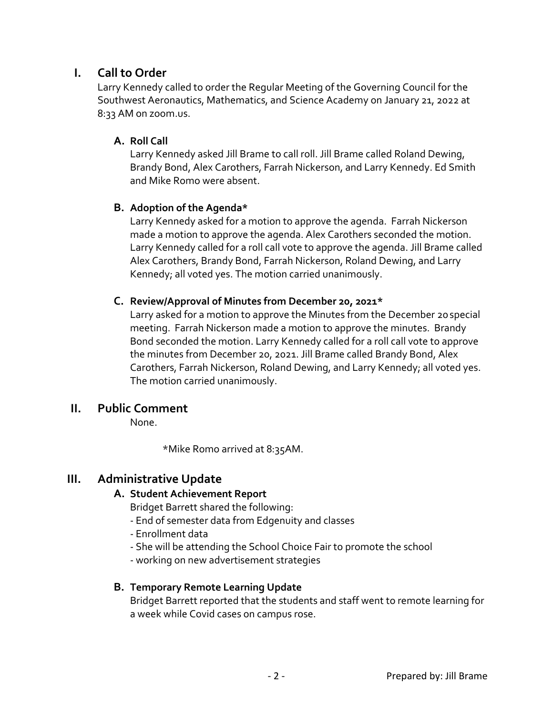# **I. Call to Order**

Larry Kennedy called to order the Regular Meeting of the Governing Council for the Southwest Aeronautics, Mathematics, and Science Academy on January 21, 2022 at 8:33 AM on zoom.us.

# **A. Roll Call**

Larry Kennedy asked Jill Brame to call roll. Jill Brame called Roland Dewing, Brandy Bond, Alex Carothers, Farrah Nickerson, and Larry Kennedy. Ed Smith and Mike Romo were absent.

#### **B. Adoption of the Agenda\***

Larry Kennedy asked for a motion to approve the agenda. Farrah Nickerson made a motion to approve the agenda. Alex Carothers seconded the motion. Larry Kennedy called for a roll call vote to approve the agenda. Jill Brame called Alex Carothers, Brandy Bond, Farrah Nickerson, Roland Dewing, and Larry Kennedy; all voted yes. The motion carried unanimously.

#### **C. Review/Approval of Minutes from December 20, 2021\***

Larry asked for a motion to approve the Minutes from the December 20special meeting. Farrah Nickerson made a motion to approve the minutes. Brandy Bond seconded the motion. Larry Kennedy called for a roll call vote to approve the minutes from December 20, 2021. Jill Brame called Brandy Bond, Alex Carothers, Farrah Nickerson, Roland Dewing, and Larry Kennedy; all voted yes. The motion carried unanimously.

# **II. Public Comment**

None.

\*Mike Romo arrived at 8:35AM.

# **III. Administrative Update**

#### **A. Student Achievement Report**

Bridget Barrett shared the following:

- End of semester data from Edgenuity and classes
- Enrollment data
- She will be attending the School Choice Fair to promote the school
- working on new advertisement strategies

# **B. Temporary Remote Learning Update**

Bridget Barrett reported that the students and staff went to remote learning for a week while Covid cases on campus rose.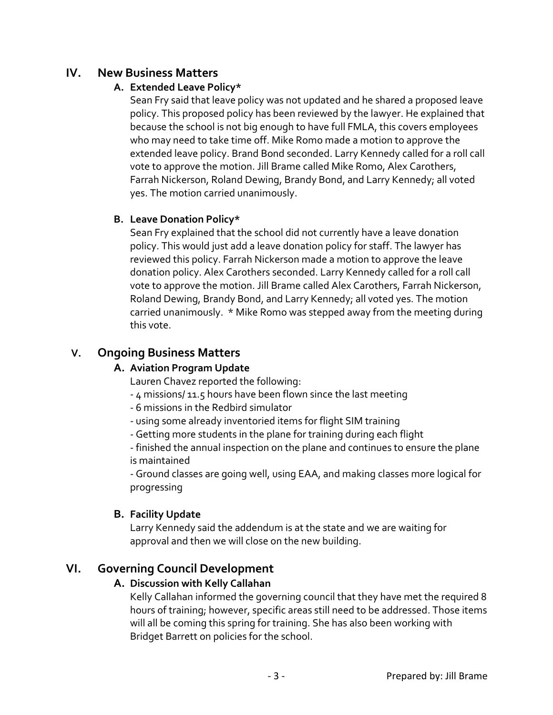# **IV. New Business Matters**

# **A. Extended Leave Policy\***

Sean Fry said that leave policy was not updated and he shared a proposed leave policy. This proposed policy has been reviewed by the lawyer. He explained that because the school is not big enough to have full FMLA, this covers employees who may need to take time off. Mike Romo made a motion to approve the extended leave policy. Brand Bond seconded. Larry Kennedy called for a roll call vote to approve the motion. Jill Brame called Mike Romo, Alex Carothers, Farrah Nickerson, Roland Dewing, Brandy Bond, and Larry Kennedy; all voted yes. The motion carried unanimously.

# **B. Leave Donation Policy\***

Sean Fry explained that the school did not currently have a leave donation policy. This would just add a leave donation policy for staff. The lawyer has reviewed this policy. Farrah Nickerson made a motion to approve the leave donation policy. Alex Carothers seconded. Larry Kennedy called for a roll call vote to approve the motion. Jill Brame called Alex Carothers, Farrah Nickerson, Roland Dewing, Brandy Bond, and Larry Kennedy; all voted yes. The motion carried unanimously. \* Mike Romo was stepped away from the meeting during this vote.

# **V. Ongoing Business Matters**

# **A. Aviation Program Update**

Lauren Chavez reported the following:

- 4 missions/ 11.5 hours have been flown since the last meeting
- 6 missions in the Redbird simulator
- using some already inventoried items for flight SIM training
- Getting more students in the plane for training during each flight

- finished the annual inspection on the plane and continues to ensure the plane is maintained

- Ground classes are going well, using EAA, and making classes more logical for progressing

# **B. Facility Update**

Larry Kennedy said the addendum is at the state and we are waiting for approval and then we will close on the new building.

# **VI. Governing Council Development**

# **A. Discussion with Kelly Callahan**

Kelly Callahan informed the governing council that they have met the required 8 hours of training; however, specific areas still need to be addressed. Those items will all be coming this spring for training. She has also been working with Bridget Barrett on policies for the school.